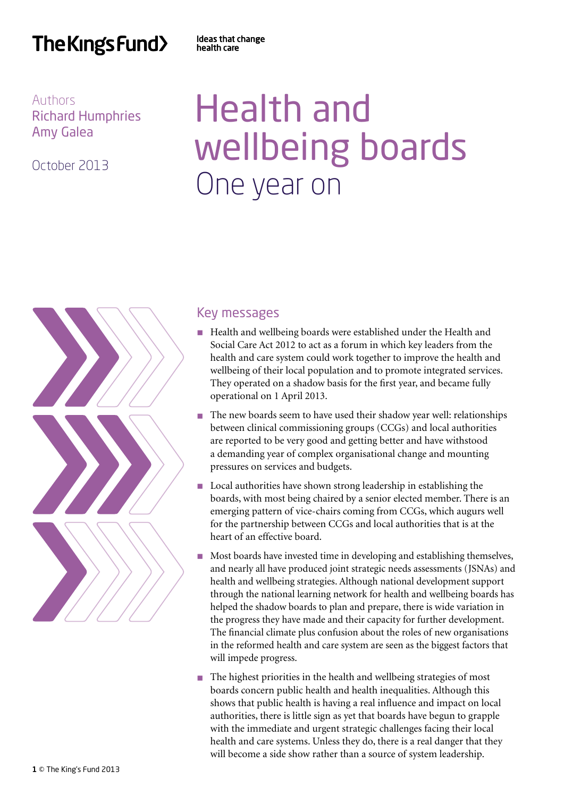# The Kings Fund>

Ideas that change health care

Authors Richard Humphries Amy Galea

October 2013

# Health and wellbeing boards One year on



## Key messages

- Health and wellbeing boards were established under the Health and Social Care Act 2012 to act as a forum in which key leaders from the health and care system could work together to improve the health and wellbeing of their local population and to promote integrated services. They operated on a shadow basis for the first year, and became fully operational on 1 April 2013.
- n The new boards seem to have used their shadow year well: relationships between clinical commissioning groups (CCGs) and local authorities are reported to be very good and getting better and have withstood a demanding year of complex organisational change and mounting pressures on services and budgets.
- $\blacksquare$  Local authorities have shown strong leadership in establishing the boards, with most being chaired by a senior elected member. There is an emerging pattern of vice-chairs coming from CCGs, which augurs well for the partnership between CCGs and local authorities that is at the heart of an effective board.
- n Most boards have invested time in developing and establishing themselves, and nearly all have produced joint strategic needs assessments (JSNAs) and health and wellbeing strategies. Although national development support through the national learning network for health and wellbeing boards has helped the shadow boards to plan and prepare, there is wide variation in the progress they have made and their capacity for further development. The financial climate plus confusion about the roles of new organisations in the reformed health and care system are seen as the biggest factors that will impede progress.
- n The highest priorities in the health and wellbeing strategies of most boards concern public health and health inequalities. Although this shows that public health is having a real influence and impact on local authorities, there is little sign as yet that boards have begun to grapple with the immediate and urgent strategic challenges facing their local health and care systems. Unless they do, there is a real danger that they will become a side show rather than a source of system leadership.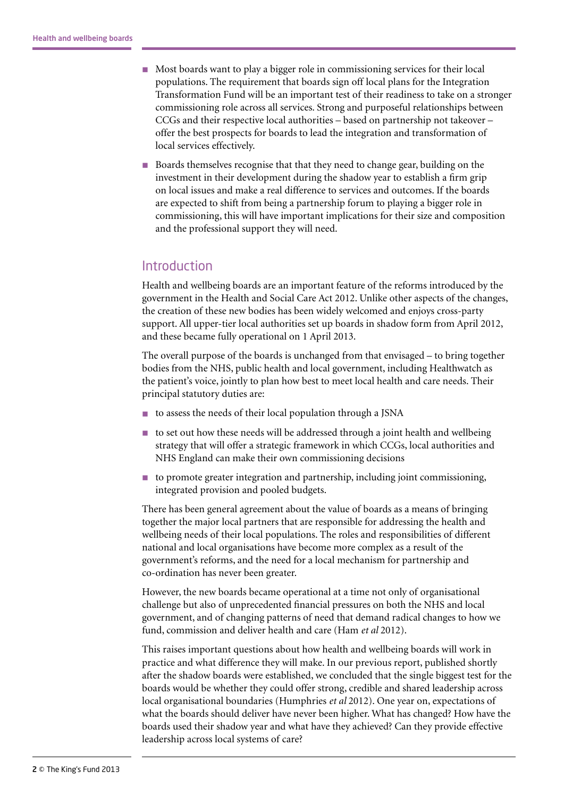- n Most boards want to play a bigger role in commissioning services for their local populations. The requirement that boards sign off local plans for the Integration Transformation Fund will be an important test of their readiness to take on a stronger commissioning role across all services. Strong and purposeful relationships between CCGs and their respective local authorities – based on partnership not takeover – offer the best prospects for boards to lead the integration and transformation of local services effectively.
- Boards themselves recognise that that they need to change gear, building on the investment in their development during the shadow year to establish a firm grip on local issues and make a real difference to services and outcomes. If the boards are expected to shift from being a partnership forum to playing a bigger role in commissioning, this will have important implications for their size and composition and the professional support they will need.

#### **Introduction**

Health and wellbeing boards are an important feature of the reforms introduced by the government in the Health and Social Care Act 2012. Unlike other aspects of the changes, the creation of these new bodies has been widely welcomed and enjoys cross-party support. All upper-tier local authorities set up boards in shadow form from April 2012, and these became fully operational on 1 April 2013.

The overall purpose of the boards is unchanged from that envisaged – to bring together bodies from the NHS, public health and local government, including Healthwatch as the patient's voice, jointly to plan how best to meet local health and care needs. Their principal statutory duties are:

- $\blacksquare$  to assess the needs of their local population through a JSNA
- n to set out how these needs will be addressed through a joint health and wellbeing strategy that will offer a strategic framework in which CCGs, local authorities and NHS England can make their own commissioning decisions
- $\blacksquare$  to promote greater integration and partnership, including joint commissioning, integrated provision and pooled budgets.

There has been general agreement about the value of boards as a means of bringing together the major local partners that are responsible for addressing the health and wellbeing needs of their local populations. The roles and responsibilities of different national and local organisations have become more complex as a result of the government's reforms, and the need for a local mechanism for partnership and co-ordination has never been greater.

However, the new boards became operational at a time not only of organisational challenge but also of unprecedented financial pressures on both the NHS and local government, and of changing patterns of need that demand radical changes to how we fund, commission and deliver health and care (Ham *et al* 2012).

This raises important questions about how health and wellbeing boards will work in practice and what difference they will make. In our previous report, published shortly after the shadow boards were established, we concluded that the single biggest test for the boards would be whether they could offer strong, credible and shared leadership across local organisational boundaries (Humphries *et al* 2012). One year on, expectations of what the boards should deliver have never been higher. What has changed? How have the boards used their shadow year and what have they achieved? Can they provide effective leadership across local systems of care?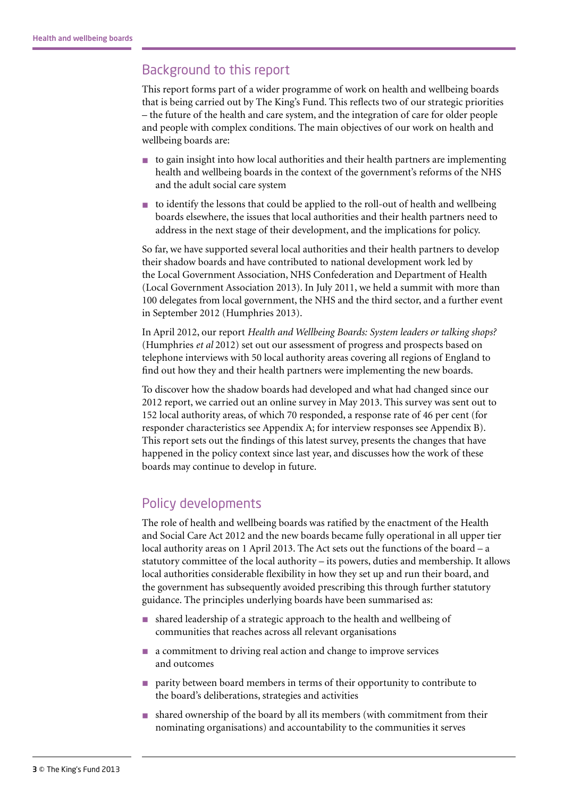## Background to this report

This report forms part of a wider programme of work on health and wellbeing boards that is being carried out by The King's Fund. This reflects two of our strategic priorities – the future of the health and care system, and the integration of care for older people and people with complex conditions. The main objectives of our work on health and wellbeing boards are:

- n to gain insight into how local authorities and their health partners are implementing health and wellbeing boards in the context of the government's reforms of the NHS and the adult social care system
- $\blacksquare$  to identify the lessons that could be applied to the roll-out of health and wellbeing boards elsewhere, the issues that local authorities and their health partners need to address in the next stage of their development, and the implications for policy.

So far, we have supported several local authorities and their health partners to develop their shadow boards and have contributed to national development work led by the Local Government Association, NHS Confederation and Department of Health (Local Government Association 2013). In July 2011, we held a summit with more than 100 delegates from local government, the NHS and the third sector, and a further event in September 2012 (Humphries 2013).

In April 2012, our report *Health and Wellbeing Boards: System leaders or talking shops?* (Humphries *et al* 2012) set out our assessment of progress and prospects based on telephone interviews with 50 local authority areas covering all regions of England to find out how they and their health partners were implementing the new boards.

To discover how the shadow boards had developed and what had changed since our 2012 report, we carried out an online survey in May 2013. This survey was sent out to 152 local authority areas, of which 70 responded, a response rate of 46 per cent (for responder characteristics see Appendix A; for interview responses see Appendix B). This report sets out the findings of this latest survey, presents the changes that have happened in the policy context since last year, and discusses how the work of these boards may continue to develop in future.

## Policy developments

The role of health and wellbeing boards was ratified by the enactment of the Health and Social Care Act 2012 and the new boards became fully operational in all upper tier local authority areas on 1 April 2013. The Act sets out the functions of the board – a statutory committee of the local authority – its powers, duties and membership. It allows local authorities considerable flexibility in how they set up and run their board, and the government has subsequently avoided prescribing this through further statutory guidance. The principles underlying boards have been summarised as:

- n shared leadership of a strategic approach to the health and wellbeing of communities that reaches across all relevant organisations
- n a commitment to driving real action and change to improve services and outcomes
- n parity between board members in terms of their opportunity to contribute to the board's deliberations, strategies and activities
- n shared ownership of the board by all its members (with commitment from their nominating organisations) and accountability to the communities it serves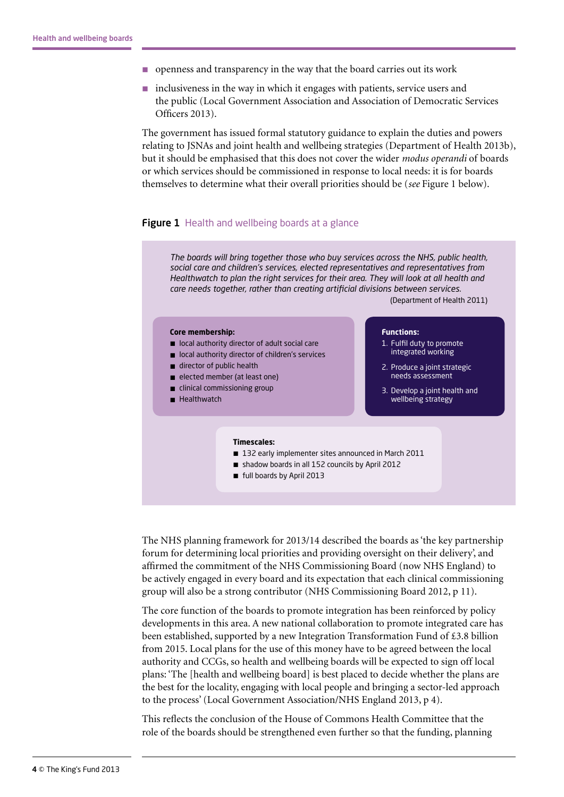- $\Box$  openness and transparency in the way that the board carries out its work
- n inclusiveness in the way in which it engages with patients, service users and the public (Local Government Association and Association of Democratic Services Officers 2013).

The government has issued formal statutory guidance to explain the duties and powers relating to JSNAs and joint health and wellbeing strategies (Department of Health 2013b), but it should be emphasised that this does not cover the wider *modus operandi* of boards or which services should be commissioned in response to local needs: it is for boards themselves to determine what their overall priorities should be (*see* Figure 1 below).

#### **Figure 1** Health and wellbeing boards at a glance

*The boards will bring together those who buy services across the NHS, public health, social care and children's services, elected representatives and representatives from Healthwatch to plan the right services for their area. They will look at all health and care needs together, rather than creating artificial divisions between services.*

(Department of Health 2011)

#### **Core membership:**

- local authority director of adult social care
- local authority director of children's services
- $\blacksquare$  director of public health
- elected member (at least one)
- $\blacksquare$  clinical commissioning group
- **n** Healthwatch

#### **Functions:**

- 1. Fulfil duty to promote integrated working
- 2. Produce a joint strategic needs assessment
- 3. Develop a joint health and wellbeing strategy

#### **Timescales:**

- 132 early implementer sites announced in March 2011
- shadow boards in all 152 councils by April 2012
- full boards by April 2013

The NHS planning framework for 2013/14 described the boards as 'the key partnership forum for determining local priorities and providing oversight on their delivery', and affirmed the commitment of the NHS Commissioning Board (now NHS England) to be actively engaged in every board and its expectation that each clinical commissioning group will also be a strong contributor (NHS Commissioning Board 2012, p 11).

The core function of the boards to promote integration has been reinforced by policy developments in this area. A new national collaboration to promote integrated care has been established, supported by a new Integration Transformation Fund of £3.8 billion from 2015. Local plans for the use of this money have to be agreed between the local authority and CCGs, so health and wellbeing boards will be expected to sign off local plans: 'The [health and wellbeing board] is best placed to decide whether the plans are the best for the locality, engaging with local people and bringing a sector-led approach to the process' (Local Government Association/NHS England 2013, p 4).

This reflects the conclusion of the House of Commons Health Committee that the role of the boards should be strengthened even further so that the funding, planning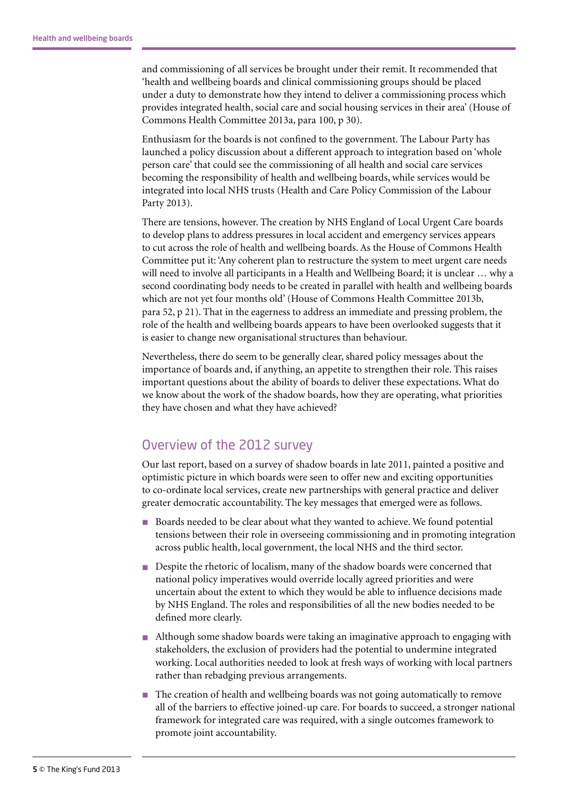and commissioning of all services be brought under their remit. It recommended that 'health and wellbeing boards and clinical commissioning groups should be placed under a duty to demonstrate how they intend to deliver a commissioning process which provides integrated health, social care and social housing services in their area' (House of Commons Health Committee 2013a, para 100, p 30).

Enthusiasm for the boards is not confined to the government. The Labour Party has launched a policy discussion about a different approach to integration based on 'whole person care' that could see the commissioning of all health and social care services becoming the responsibility of health and wellbeing boards, while services would be integrated into local NHS trusts (Health and Care Policy Commission of the Labour Party 2013).

There are tensions, however. The creation by NHS England of Local Urgent Care boards to develop plans to address pressures in local accident and emergency services appears to cut across the role of health and wellbeing boards. As the House of Commons Health Committee put it: 'Any coherent plan to restructure the system to meet urgent care needs will need to involve all participants in a Health and Wellbeing Board; it is unclear … why a second coordinating body needs to be created in parallel with health and wellbeing boards which are not yet four months old' (House of Commons Health Committee 2013b, para 52, p 21). That in the eagerness to address an immediate and pressing problem, the role of the health and wellbeing boards appears to have been overlooked suggests that it is easier to change new organisational structures than behaviour.

Nevertheless, there do seem to be generally clear, shared policy messages about the importance of boards and, if anything, an appetite to strengthen their role. This raises important questions about the ability of boards to deliver these expectations. What do we know about the work of the shadow boards, how they are operating, what priorities they have chosen and what they have achieved?

## Overview of the 2012 survey

Our last report, based on a survey of shadow boards in late 2011, painted a positive and optimistic picture in which boards were seen to offer new and exciting opportunities to co-ordinate local services, create new partnerships with general practice and deliver greater democratic accountability. The key messages that emerged were as follows.

- Boards needed to be clear about what they wanted to achieve. We found potential tensions between their role in overseeing commissioning and in promoting integration across public health, local government, the local NHS and the third sector.
- **n** Despite the rhetoric of localism, many of the shadow boards were concerned that national policy imperatives would override locally agreed priorities and were uncertain about the extent to which they would be able to influence decisions made by NHS England. The roles and responsibilities of all the new bodies needed to be defined more clearly.
- n Although some shadow boards were taking an imaginative approach to engaging with stakeholders, the exclusion of providers had the potential to undermine integrated working. Local authorities needed to look at fresh ways of working with local partners rather than rebadging previous arrangements.
- n The creation of health and wellbeing boards was not going automatically to remove all of the barriers to effective joined-up care. For boards to succeed, a stronger national framework for integrated care was required, with a single outcomes framework to promote joint accountability.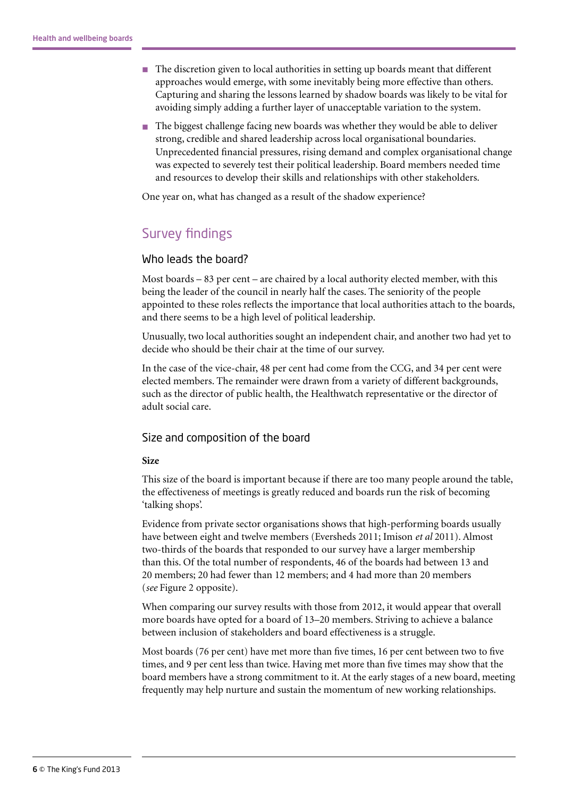- The discretion given to local authorities in setting up boards meant that different approaches would emerge, with some inevitably being more effective than others. Capturing and sharing the lessons learned by shadow boards was likely to be vital for avoiding simply adding a further layer of unacceptable variation to the system.
- n The biggest challenge facing new boards was whether they would be able to deliver strong, credible and shared leadership across local organisational boundaries. Unprecedented financial pressures, rising demand and complex organisational change was expected to severely test their political leadership. Board members needed time and resources to develop their skills and relationships with other stakeholders.

One year on, what has changed as a result of the shadow experience?

## Survey findings

#### Who leads the board?

Most boards – 83 per cent – are chaired by a local authority elected member, with this being the leader of the council in nearly half the cases. The seniority of the people appointed to these roles reflects the importance that local authorities attach to the boards, and there seems to be a high level of political leadership.

Unusually, two local authorities sought an independent chair, and another two had yet to decide who should be their chair at the time of our survey.

In the case of the vice-chair, 48 per cent had come from the CCG, and 34 per cent were elected members. The remainder were drawn from a variety of different backgrounds, such as the director of public health, the Healthwatch representative or the director of adult social care.

#### Size and composition of the board

#### **Size**

This size of the board is important because if there are too many people around the table, the effectiveness of meetings is greatly reduced and boards run the risk of becoming 'talking shops'.

Evidence from private sector organisations shows that high-performing boards usually have between eight and twelve members (Eversheds 2011; Imison *et al* 2011). Almost two-thirds of the boards that responded to our survey have a larger membership than this. Of the total number of respondents, 46 of the boards had between 13 and 20 members; 20 had fewer than 12 members; and 4 had more than 20 members (*see* Figure 2 opposite).

When comparing our survey results with those from 2012, it would appear that overall more boards have opted for a board of 13–20 members. Striving to achieve a balance between inclusion of stakeholders and board effectiveness is a struggle.

Most boards (76 per cent) have met more than five times, 16 per cent between two to five times, and 9 per cent less than twice. Having met more than five times may show that the board members have a strong commitment to it. At the early stages of a new board, meeting frequently may help nurture and sustain the momentum of new working relationships.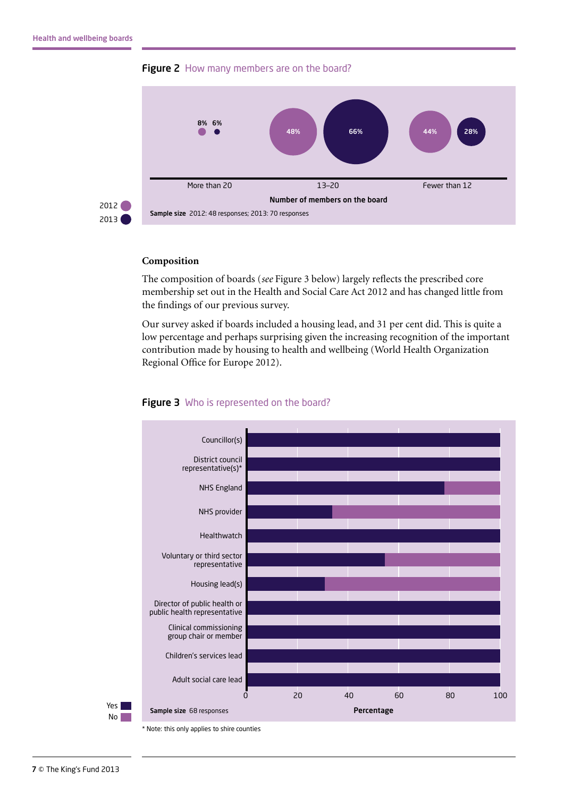



#### **Composition**

The composition of boards (*see* Figure 3 below) largely reflects the prescribed core membership set out in the Health and Social Care Act 2012 and has changed little from the findings of our previous survey.

Our survey asked if boards included a housing lead, and 31 per cent did. This is quite a low percentage and perhaps surprising given the increasing recognition of the important contribution made by housing to health and wellbeing (World Health Organization Regional Office for Europe 2012).



#### Figure 3 Who is represented on the board?

No I

\* Note: this only applies to shire counties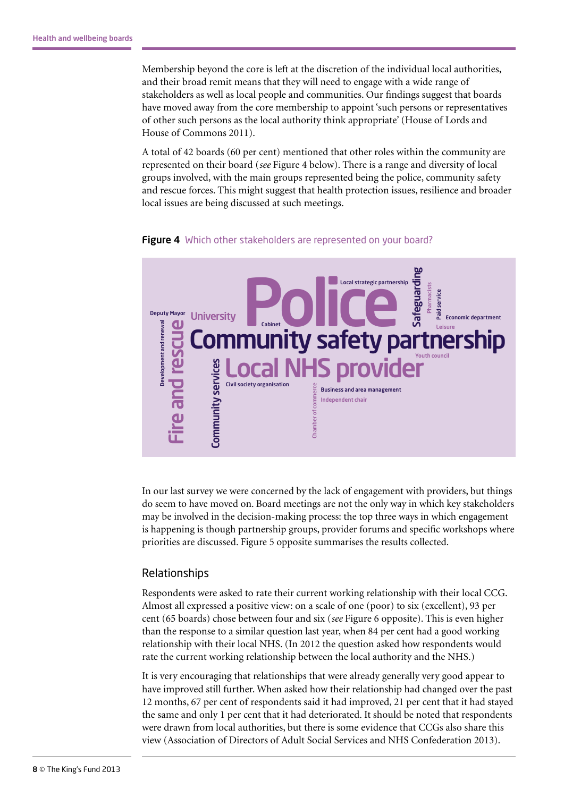Membership beyond the core is left at the discretion of the individual local authorities, and their broad remit means that they will need to engage with a wide range of stakeholders as well as local people and communities. Our findings suggest that boards have moved away from the core membership to appoint 'such persons or representatives of other such persons as the local authority think appropriate' (House of Lords and House of Commons 2011).

A total of 42 boards (60 per cent) mentioned that other roles within the community are represented on their board (*see* Figure 4 below). There is a range and diversity of local groups involved, with the main groups represented being the police, community safety and rescue forces. This might suggest that health protection issues, resilience and broader local issues are being discussed at such meetings.





In our last survey we were concerned by the lack of engagement with providers, but things do seem to have moved on. Board meetings are not the only way in which key stakeholders may be involved in the decision-making process: the top three ways in which engagement is happening is though partnership groups, provider forums and specific workshops where priorities are discussed. Figure 5 opposite summarises the results collected.

#### Relationships

Respondents were asked to rate their current working relationship with their local CCG. Almost all expressed a positive view: on a scale of one (poor) to six (excellent), 93 per cent (65 boards) chose between four and six (*see* Figure 6 opposite). This is even higher than the response to a similar question last year, when 84 per cent had a good working relationship with their local NHS. (In 2012 the question asked how respondents would rate the current working relationship between the local authority and the NHS.)

It is very encouraging that relationships that were already generally very good appear to have improved still further. When asked how their relationship had changed over the past 12 months, 67 per cent of respondents said it had improved, 21 per cent that it had stayed the same and only 1 per cent that it had deteriorated. It should be noted that respondents were drawn from local authorities, but there is some evidence that CCGs also share this view (Association of Directors of Adult Social Services and NHS Confederation 2013).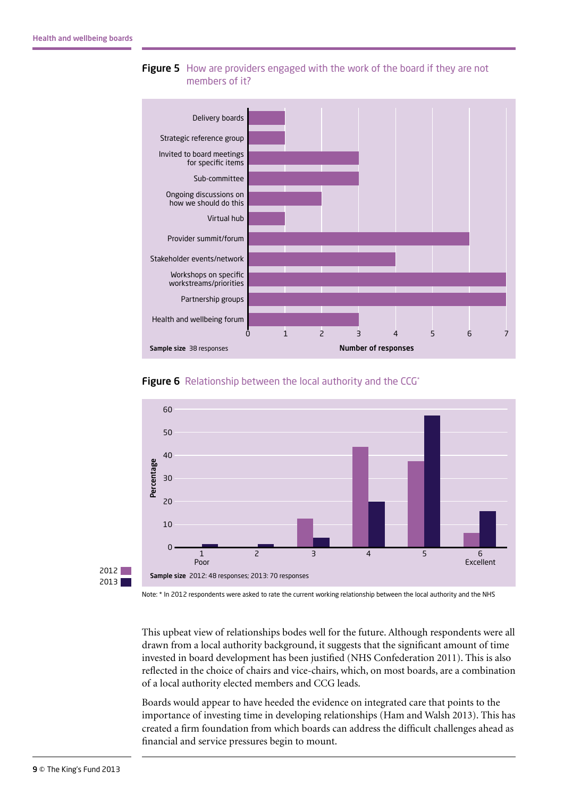



**Figure 6** Relationship between the local authority and the CCG\*





Note: \* In 2012 respondents were asked to rate the current working relationship between the local authority and the NHS

This upbeat view of relationships bodes well for the future. Although respondents were all drawn from a local authority background, it suggests that the significant amount of time invested in board development has been justified (NHS Confederation 2011). This is also reflected in the choice of chairs and vice-chairs, which, on most boards, are a combination of a local authority elected members and CCG leads.

Boards would appear to have heeded the evidence on integrated care that points to the importance of investing time in developing relationships (Ham and Walsh 2013). This has created a firm foundation from which boards can address the difficult challenges ahead as financial and service pressures begin to mount.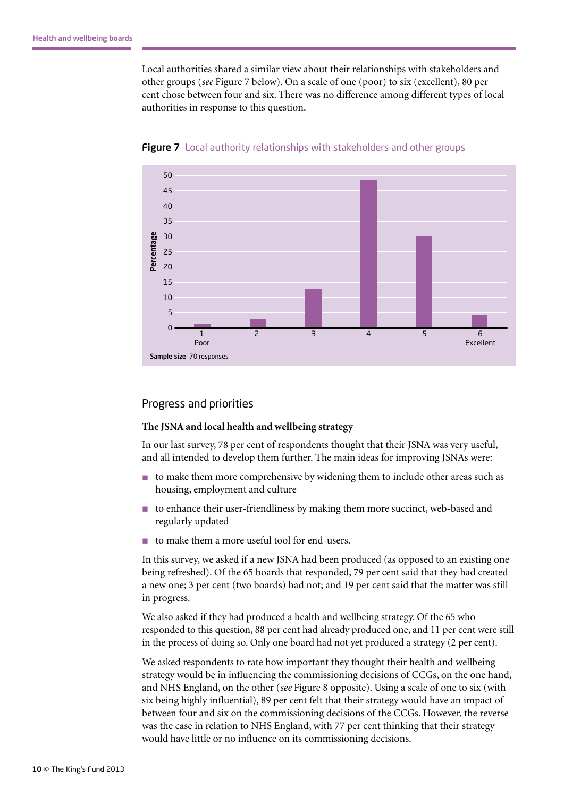Local authorities shared a similar view about their relationships with stakeholders and other groups (*see* Figure 7 below). On a scale of one (poor) to six (excellent), 80 per cent chose between four and six. There was no difference among different types of local authorities in response to this question.



Figure 7 Local authority relationships with stakeholders and other groups

#### Progress and priorities

#### **The JSNA and local health and wellbeing strategy**

In our last survey, 78 per cent of respondents thought that their JSNA was very useful, and all intended to develop them further. The main ideas for improving JSNAs were:

- n to make them more comprehensive by widening them to include other areas such as housing, employment and culture
- $\blacksquare$  to enhance their user-friendliness by making them more succinct, web-based and regularly updated
- to make them a more useful tool for end-users.

In this survey, we asked if a new JSNA had been produced (as opposed to an existing one being refreshed). Of the 65 boards that responded, 79 per cent said that they had created a new one; 3 per cent (two boards) had not; and 19 per cent said that the matter was still in progress.

We also asked if they had produced a health and wellbeing strategy. Of the 65 who responded to this question, 88 per cent had already produced one, and 11 per cent were still in the process of doing so. Only one board had not yet produced a strategy (2 per cent).

We asked respondents to rate how important they thought their health and wellbeing strategy would be in influencing the commissioning decisions of CCGs, on the one hand, and NHS England, on the other (*see* Figure 8 opposite). Using a scale of one to six (with six being highly influential), 89 per cent felt that their strategy would have an impact of between four and six on the commissioning decisions of the CCGs. However, the reverse was the case in relation to NHS England, with 77 per cent thinking that their strategy would have little or no influence on its commissioning decisions.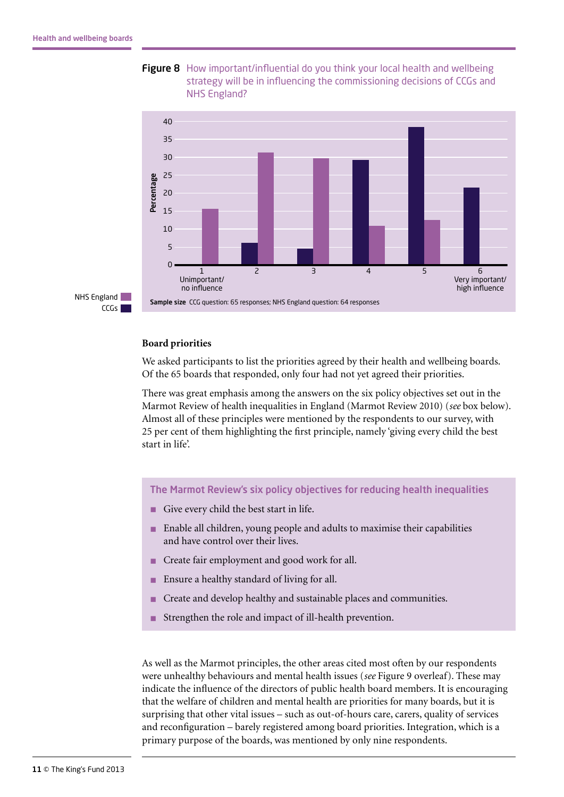

**Figure 8** How important/influential do you think your local health and wellbeing strategy will be in influencing the commissioning decisions of CCGs and NHS England?

#### **Board priorities**

We asked participants to list the priorities agreed by their health and wellbeing boards. Of the 65 boards that responded, only four had not yet agreed their priorities.

There was great emphasis among the answers on the six policy objectives set out in the Marmot Review of health inequalities in England (Marmot Review 2010) (*see* box below). Almost all of these principles were mentioned by the respondents to our survey, with 25 per cent of them highlighting the first principle, namely 'giving every child the best start in life'.

The Marmot Review's six policy objectives for reducing health inequalities

- n Give every child the best start in life.
- n Enable all children, young people and adults to maximise their capabilities and have control over their lives.
- Create fair employment and good work for all.
- Ensure a healthy standard of living for all.
- Create and develop healthy and sustainable places and communities.
- n Strengthen the role and impact of ill-health prevention.

As well as the Marmot principles, the other areas cited most often by our respondents were unhealthy behaviours and mental health issues (*see* Figure 9 overleaf). These may indicate the influence of the directors of public health board members. It is encouraging that the welfare of children and mental health are priorities for many boards, but it is surprising that other vital issues – such as out-of-hours care, carers, quality of services and reconfiguration – barely registered among board priorities. Integration, which is a primary purpose of the boards, was mentioned by only nine respondents.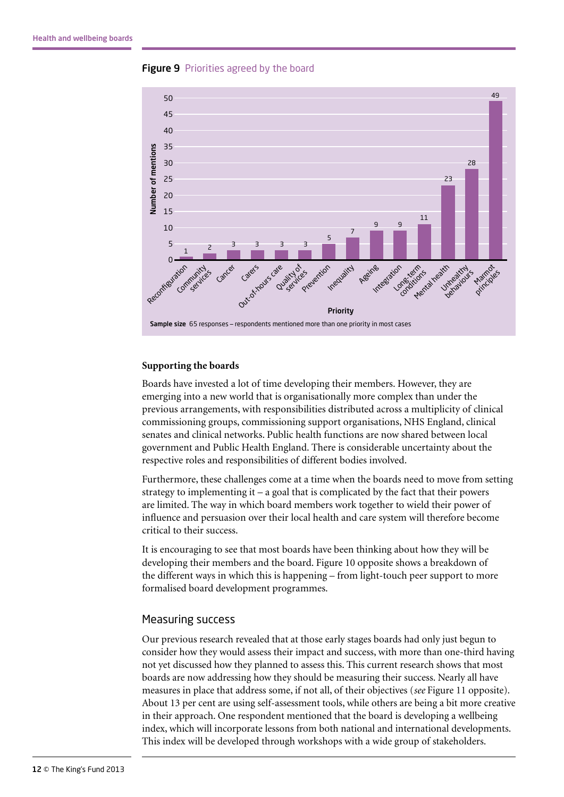



#### **Supporting the boards**

Boards have invested a lot of time developing their members. However, they are emerging into a new world that is organisationally more complex than under the previous arrangements, with responsibilities distributed across a multiplicity of clinical commissioning groups, commissioning support organisations, NHS England, clinical senates and clinical networks. Public health functions are now shared between local government and Public Health England. There is considerable uncertainty about the respective roles and responsibilities of different bodies involved.

Furthermore, these challenges come at a time when the boards need to move from setting strategy to implementing it – a goal that is complicated by the fact that their powers are limited. The way in which board members work together to wield their power of influence and persuasion over their local health and care system will therefore become critical to their success.

It is encouraging to see that most boards have been thinking about how they will be developing their members and the board. Figure 10 opposite shows a breakdown of the different ways in which this is happening – from light-touch peer support to more formalised board development programmes.

#### Measuring success

Our previous research revealed that at those early stages boards had only just begun to consider how they would assess their impact and success, with more than one-third having not yet discussed how they planned to assess this. This current research shows that most boards are now addressing how they should be measuring their success. Nearly all have measures in place that address some, if not all, of their objectives (*see* Figure 11 opposite). About 13 per cent are using self-assessment tools, while others are being a bit more creative in their approach. One respondent mentioned that the board is developing a wellbeing index, which will incorporate lessons from both national and international developments. This index will be developed through workshops with a wide group of stakeholders.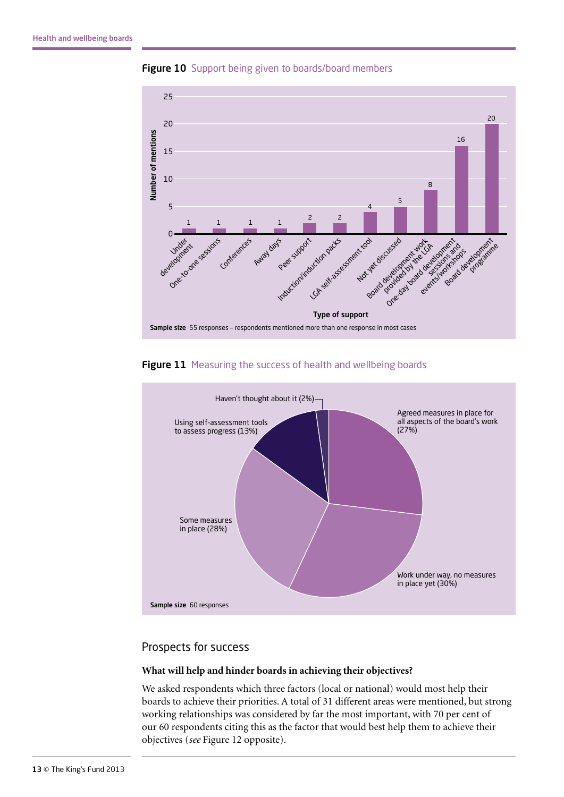

**Figure 10** Support being given to boards/board members





#### Prospects for success

#### **What will help and hinder boards in achieving their objectives?**

We asked respondents which three factors (local or national) would most help their boards to achieve their priorities. A total of 31 different areas were mentioned, but strong working relationships was considered by far the most important, with 70 per cent of our 60 respondents citing this as the factor that would best help them to achieve their objectives (*see* Figure 12 opposite).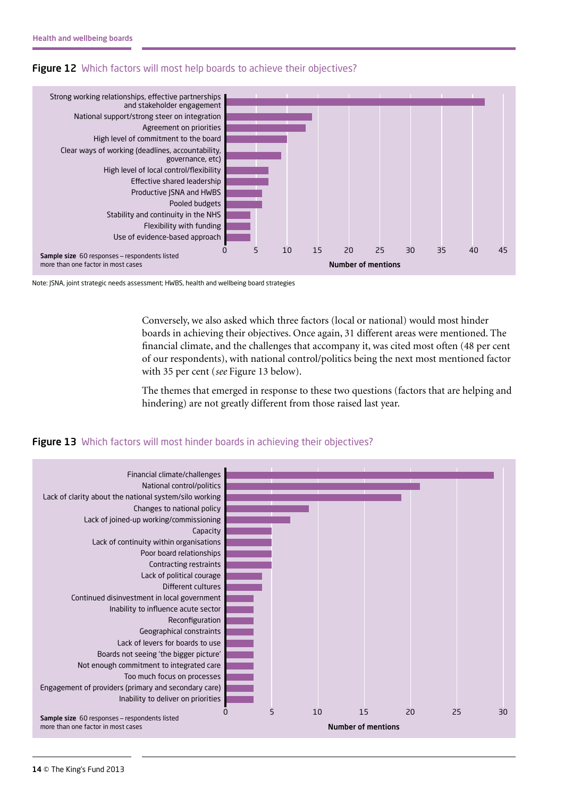



Note: JSNA, joint strategic needs assessment; HWBS, health and wellbeing board strategies

Conversely, we also asked which three factors (local or national) would most hinder boards in achieving their objectives. Once again, 31 different areas were mentioned. The financial climate, and the challenges that accompany it, was cited most often (48 per cent of our respondents), with national control/politics being the next most mentioned factor with 35 per cent (*see* Figure 13 below).

The themes that emerged in response to these two questions (factors that are helping and hindering) are not greatly different from those raised last year.



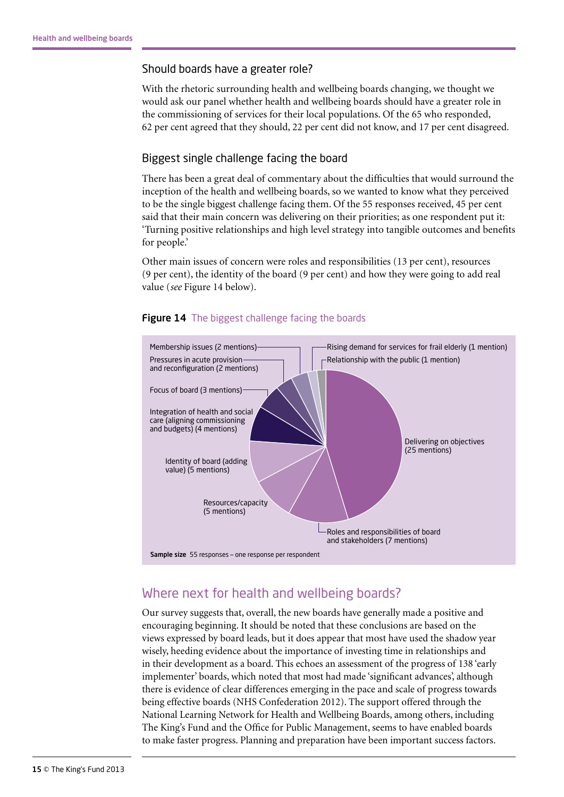#### Should boards have a greater role?

With the rhetoric surrounding health and wellbeing boards changing, we thought we would ask our panel whether health and wellbeing boards should have a greater role in the commissioning of services for their local populations. Of the 65 who responded, 62 per cent agreed that they should, 22 per cent did not know, and 17 per cent disagreed.

#### Biggest single challenge facing the board

There has been a great deal of commentary about the difficulties that would surround the inception of the health and wellbeing boards, so we wanted to know what they perceived to be the single biggest challenge facing them. Of the 55 responses received, 45 per cent said that their main concern was delivering on their priorities; as one respondent put it: 'Turning positive relationships and high level strategy into tangible outcomes and benefits for people.'

Other main issues of concern were roles and responsibilities (13 per cent), resources (9 per cent), the identity of the board (9 per cent) and how they were going to add real value (*see* Figure 14 below).



#### **Figure 14** The biggest challenge facing the boards

## Where next for health and wellbeing boards?

Our survey suggests that, overall, the new boards have generally made a positive and encouraging beginning. It should be noted that these conclusions are based on the views expressed by board leads, but it does appear that most have used the shadow year wisely, heeding evidence about the importance of investing time in relationships and in their development as a board. This echoes an assessment of the progress of 138 'early implementer' boards, which noted that most had made 'significant advances', although there is evidence of clear differences emerging in the pace and scale of progress towards being effective boards (NHS Confederation 2012). The support offered through the National Learning Network for Health and Wellbeing Boards, among others, including The King's Fund and the Office for Public Management, seems to have enabled boards to make faster progress. Planning and preparation have been important success factors.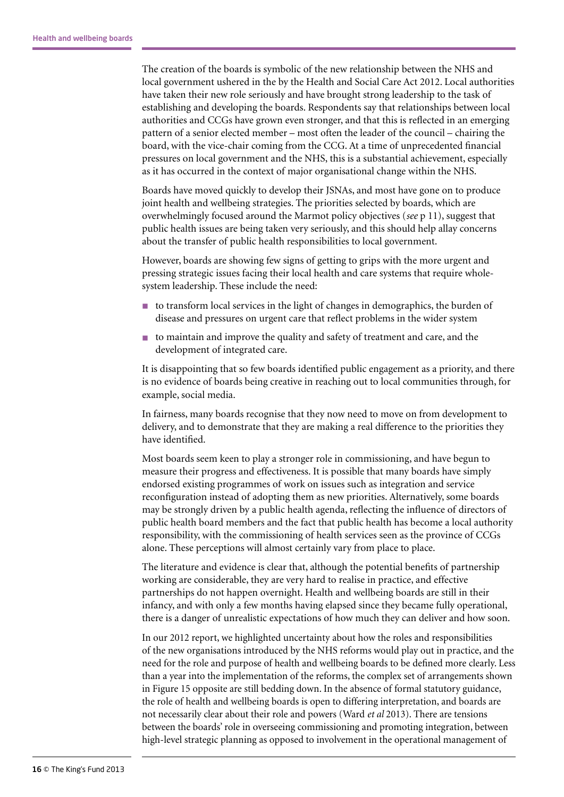The creation of the boards is symbolic of the new relationship between the NHS and local government ushered in the by the Health and Social Care Act 2012. Local authorities have taken their new role seriously and have brought strong leadership to the task of establishing and developing the boards. Respondents say that relationships between local authorities and CCGs have grown even stronger, and that this is reflected in an emerging pattern of a senior elected member – most often the leader of the council – chairing the board, with the vice-chair coming from the CCG. At a time of unprecedented financial pressures on local government and the NHS, this is a substantial achievement, especially as it has occurred in the context of major organisational change within the NHS.

Boards have moved quickly to develop their JSNAs, and most have gone on to produce joint health and wellbeing strategies. The priorities selected by boards, which are overwhelmingly focused around the Marmot policy objectives (*see* p 11), suggest that public health issues are being taken very seriously, and this should help allay concerns about the transfer of public health responsibilities to local government.

However, boards are showing few signs of getting to grips with the more urgent and pressing strategic issues facing their local health and care systems that require wholesystem leadership. These include the need:

- n to transform local services in the light of changes in demographics, the burden of disease and pressures on urgent care that reflect problems in the wider system
- n to maintain and improve the quality and safety of treatment and care, and the development of integrated care.

It is disappointing that so few boards identified public engagement as a priority, and there is no evidence of boards being creative in reaching out to local communities through, for example, social media.

In fairness, many boards recognise that they now need to move on from development to delivery, and to demonstrate that they are making a real difference to the priorities they have identified.

Most boards seem keen to play a stronger role in commissioning, and have begun to measure their progress and effectiveness. It is possible that many boards have simply endorsed existing programmes of work on issues such as integration and service reconfiguration instead of adopting them as new priorities. Alternatively, some boards may be strongly driven by a public health agenda, reflecting the influence of directors of public health board members and the fact that public health has become a local authority responsibility, with the commissioning of health services seen as the province of CCGs alone. These perceptions will almost certainly vary from place to place.

The literature and evidence is clear that, although the potential benefits of partnership working are considerable, they are very hard to realise in practice, and effective partnerships do not happen overnight. Health and wellbeing boards are still in their infancy, and with only a few months having elapsed since they became fully operational, there is a danger of unrealistic expectations of how much they can deliver and how soon.

In our 2012 report, we highlighted uncertainty about how the roles and responsibilities of the new organisations introduced by the NHS reforms would play out in practice, and the need for the role and purpose of health and wellbeing boards to be defined more clearly. Less than a year into the implementation of the reforms, the complex set of arrangements shown in Figure 15 opposite are still bedding down. In the absence of formal statutory guidance, the role of health and wellbeing boards is open to differing interpretation, and boards are not necessarily clear about their role and powers (Ward *et al* 2013). There are tensions between the boards' role in overseeing commissioning and promoting integration, between high-level strategic planning as opposed to involvement in the operational management of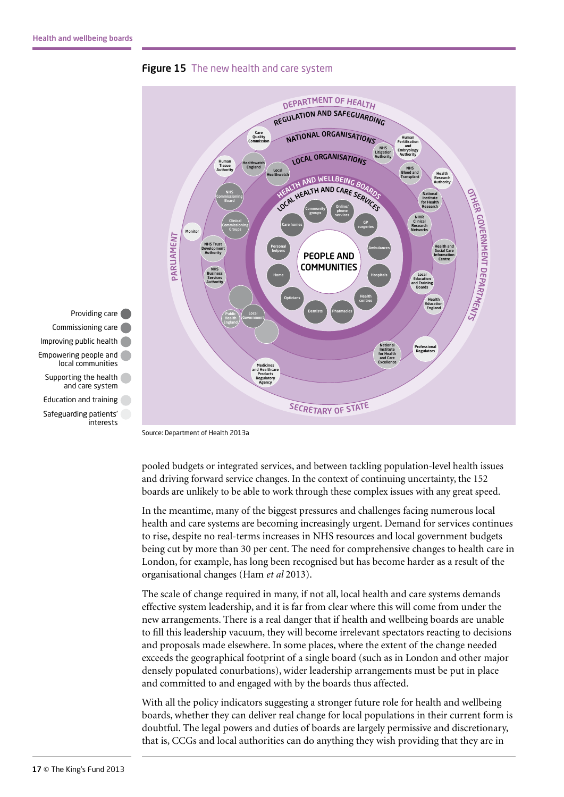

**Figure 15** The new health and care system

Source: Department of Health 2013a

pooled budgets or integrated services, and between tackling population-level health issues and driving forward service changes. In the context of continuing uncertainty, the 152 boards are unlikely to be able to work through these complex issues with any great speed.

In the meantime, many of the biggest pressures and challenges facing numerous local health and care systems are becoming increasingly urgent. Demand for services continues to rise, despite no real-terms increases in NHS resources and local government budgets being cut by more than 30 per cent. The need for comprehensive changes to health care in London, for example, has long been recognised but has become harder as a result of the organisational changes (Ham *et al* 2013).

The scale of change required in many, if not all, local health and care systems demands effective system leadership, and it is far from clear where this will come from under the new arrangements. There is a real danger that if health and wellbeing boards are unable to fill this leadership vacuum, they will become irrelevant spectators reacting to decisions and proposals made elsewhere. In some places, where the extent of the change needed exceeds the geographical footprint of a single board (such as in London and other major densely populated conurbations), wider leadership arrangements must be put in place and committed to and engaged with by the boards thus affected.

With all the policy indicators suggesting a stronger future role for health and wellbeing boards, whether they can deliver real change for local populations in their current form is doubtful. The legal powers and duties of boards are largely permissive and discretionary, that is, CCGs and local authorities can do anything they wish providing that they are in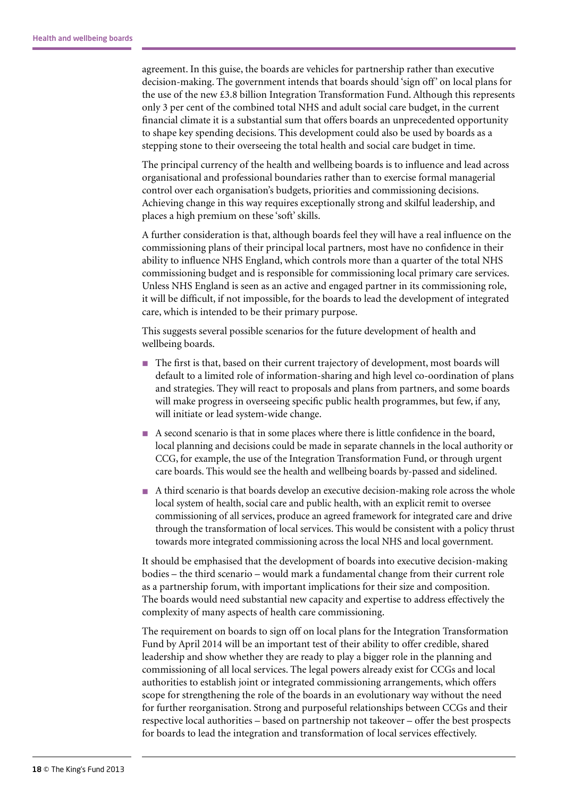agreement. In this guise, the boards are vehicles for partnership rather than executive decision-making. The government intends that boards should 'sign off' on local plans for the use of the new £3.8 billion Integration Transformation Fund. Although this represents only 3 per cent of the combined total NHS and adult social care budget, in the current financial climate it is a substantial sum that offers boards an unprecedented opportunity to shape key spending decisions. This development could also be used by boards as a stepping stone to their overseeing the total health and social care budget in time.

The principal currency of the health and wellbeing boards is to influence and lead across organisational and professional boundaries rather than to exercise formal managerial control over each organisation's budgets, priorities and commissioning decisions. Achieving change in this way requires exceptionally strong and skilful leadership, and places a high premium on these 'soft' skills.

A further consideration is that, although boards feel they will have a real influence on the commissioning plans of their principal local partners, most have no confidence in their ability to influence NHS England, which controls more than a quarter of the total NHS commissioning budget and is responsible for commissioning local primary care services. Unless NHS England is seen as an active and engaged partner in its commissioning role, it will be difficult, if not impossible, for the boards to lead the development of integrated care, which is intended to be their primary purpose.

This suggests several possible scenarios for the future development of health and wellbeing boards.

- n The first is that, based on their current trajectory of development, most boards will default to a limited role of information-sharing and high level co-oordination of plans and strategies. They will react to proposals and plans from partners, and some boards will make progress in overseeing specific public health programmes, but few, if any, will initiate or lead system-wide change.
- n A second scenario is that in some places where there is little confidence in the board, local planning and decisions could be made in separate channels in the local authority or CCG, for example, the use of the Integration Transformation Fund, or through urgent care boards. This would see the health and wellbeing boards by-passed and sidelined.
- n A third scenario is that boards develop an executive decision-making role across the whole local system of health, social care and public health, with an explicit remit to oversee commissioning of all services, produce an agreed framework for integrated care and drive through the transformation of local services. This would be consistent with a policy thrust towards more integrated commissioning across the local NHS and local government.

It should be emphasised that the development of boards into executive decision-making bodies – the third scenario – would mark a fundamental change from their current role as a partnership forum, with important implications for their size and composition. The boards would need substantial new capacity and expertise to address effectively the complexity of many aspects of health care commissioning.

The requirement on boards to sign off on local plans for the Integration Transformation Fund by April 2014 will be an important test of their ability to offer credible, shared leadership and show whether they are ready to play a bigger role in the planning and commissioning of all local services. The legal powers already exist for CCGs and local authorities to establish joint or integrated commissioning arrangements, which offers scope for strengthening the role of the boards in an evolutionary way without the need for further reorganisation. Strong and purposeful relationships between CCGs and their respective local authorities – based on partnership not takeover – offer the best prospects for boards to lead the integration and transformation of local services effectively.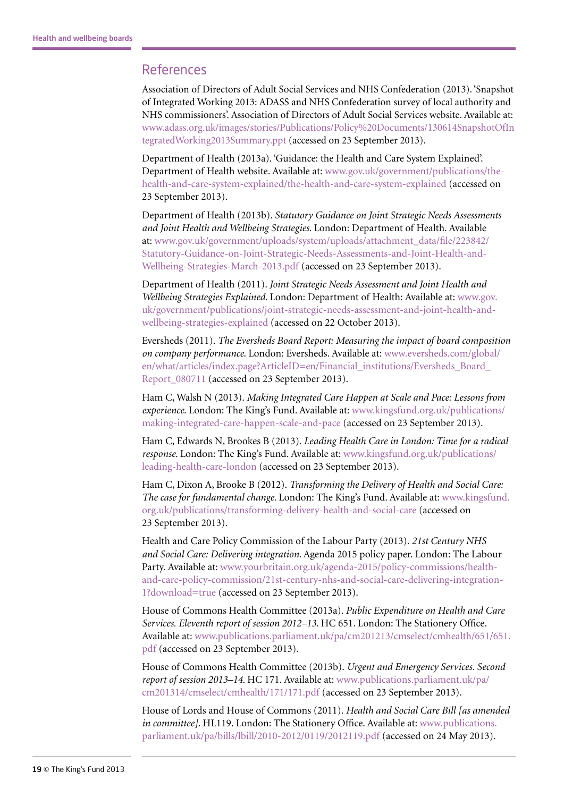#### References

Association of Directors of Adult Social Services and NHS Confederation (2013). 'Snapshot of Integrated Working 2013: ADASS and NHS Confederation survey of local authority and NHS commissioners'. Association of Directors of Adult Social Services website. Available at: [www.adass.org.uk/images/stories/Publications/Policy%20Documents/130614SnapshotOfIn](http://www.adass.org.uk/images/stories/Publications/Policy%20Documents/130614SnapshotOfIntegratedWorking2013Summary.ppt) [tegratedWorking2013Summary.ppt](http://www.adass.org.uk/images/stories/Publications/Policy%20Documents/130614SnapshotOfIntegratedWorking2013Summary.ppt) (accessed on 23 September 2013).

Department of Health (2013a). 'Guidance: the Health and Care System Explained'. Department of Health website. Available at: [www.gov.uk/government/publications/the](http://www.gov.uk/government/publications/the-health-and-care-system-explained/the-health-and-care-system-explained)[health-and-care-system-explained/the-health-and-care-system-explained](http://www.gov.uk/government/publications/the-health-and-care-system-explained/the-health-and-care-system-explained) (accessed on 23 September 2013).

Department of Health (2013b). *Statutory Guidance on Joint Strategic Needs Assessments and Joint Health and Wellbeing Strategies*. London: Department of Health. Available at: [www.gov.uk/government/uploads/system/uploads/attachment\\_data/file/223842/](http://www.gov.uk/government/uploads/system/uploads/attachment_data/file/223842/Statutory-Guidance-on-Joint-Strategic-Needs-Assessments-and-Joint-Health-and-Wellbeing-Strategies-March-2013.pdf) [Statutory-Guidance-on-Joint-Strategic-Needs-Assessments-and-Joint-Health-and-](http://www.gov.uk/government/uploads/system/uploads/attachment_data/file/223842/Statutory-Guidance-on-Joint-Strategic-Needs-Assessments-and-Joint-Health-and-Wellbeing-Strategies-March-2013.pdf)[Wellbeing-Strategies-March-2013.pdf](http://www.gov.uk/government/uploads/system/uploads/attachment_data/file/223842/Statutory-Guidance-on-Joint-Strategic-Needs-Assessments-and-Joint-Health-and-Wellbeing-Strategies-March-2013.pdf) (accessed on 23 September 2013).

Department of Health (2011). *Joint Strategic Needs Assessment and Joint Health and Wellbeing Strategies Explained*. London: Department of Health: Available at: [www.gov.](https://www.gov.uk/government/publications/joint-strategic-needs-assessment-and-joint-health-and-wellbeing-strategies-explained) [uk/government/publications/joint-strategic-needs-assessment-and-joint-health-and](https://www.gov.uk/government/publications/joint-strategic-needs-assessment-and-joint-health-and-wellbeing-strategies-explained)[wellbeing-strategies-explained](https://www.gov.uk/government/publications/joint-strategic-needs-assessment-and-joint-health-and-wellbeing-strategies-explained) (accessed on 22 October 2013).

Eversheds (2011). *The Eversheds Board Report: Measuring the impact of board composition on company performance*. London: Eversheds. Available at: [www.eversheds.com/global/](http://www.eversheds.com/global/en/what/articles/index.page?ArticleID=en/Financial_institutions/Eversheds_Board_Report_080711) [en/what/articles/index.page?ArticleID=en/Financial\\_institutions/Eversheds\\_Board\\_](http://www.eversheds.com/global/en/what/articles/index.page?ArticleID=en/Financial_institutions/Eversheds_Board_Report_080711) [Report\\_080711](http://www.eversheds.com/global/en/what/articles/index.page?ArticleID=en/Financial_institutions/Eversheds_Board_Report_080711) (accessed on 23 September 2013).

Ham C, Walsh N (2013). *Making Integrated Care Happen at Scale and Pace: Lessons from experience*. London: The King's Fund. Available at: [www.kingsfund.org.uk/publications/](http://www.kingsfund.org.uk/publications/making-integrated-care-happen-scale-and-pace) [making-integrated-care-happen-scale-and-pace](http://www.kingsfund.org.uk/publications/making-integrated-care-happen-scale-and-pace) (accessed on 23 September 2013).

Ham C, Edwards N, Brookes B (2013). *Leading Health Care in London: Time for a radical response*. London: The King's Fund. Available at: [www.kingsfund.org.uk/publications/](http://www.kingsfund.org.uk/publications/leading-health-care-london) [leading-health-care-london](http://www.kingsfund.org.uk/publications/leading-health-care-london) (accessed on 23 September 2013).

Ham C, Dixon A, Brooke B (2012). *Transforming the Delivery of Health and Social Care: The case for fundamental change*. London: The King's Fund. Available at: [www.kingsfund.](http://www.kingsfund.org.uk/publications/transforming-delivery-health-and-social-care) [org.uk/publications/transforming-delivery-health-and-social-care](http://www.kingsfund.org.uk/publications/transforming-delivery-health-and-social-care) (accessed on 23 September 2013).

Health and Care Policy Commission of the Labour Party (2013). *21st Century NHS and Social Care: Delivering integration*. Agenda 2015 policy paper. London: The Labour Party. Available at: [www.yourbritain.org.uk/agenda-2015/policy-commissions/health](http://www.yourbritain.org.uk/agenda-2015/policy-commissions/health-and-care-policy-commission/21st-century-nhs-and-social-care-delivering-integration-1?download=true)[and-care-policy-commission/21st-century-nhs-and-social-care-delivering-integration-](http://www.yourbritain.org.uk/agenda-2015/policy-commissions/health-and-care-policy-commission/21st-century-nhs-and-social-care-delivering-integration-1?download=true)[1?download=true](http://www.yourbritain.org.uk/agenda-2015/policy-commissions/health-and-care-policy-commission/21st-century-nhs-and-social-care-delivering-integration-1?download=true) (accessed on 23 September 2013).

House of Commons Health Committee (2013a). *Public Expenditure on Health and Care Services. Eleventh report of session 2012–13*. HC 651. London: The Stationery Office. Available at: [www.publications.parliament.uk/pa/cm201213/cmselect/cmhealth/651/651.](http://www.publications.parliament.uk/pa/cm201213/cmselect/cmhealth/651/651.pdf) [pdf](http://www.publications.parliament.uk/pa/cm201213/cmselect/cmhealth/651/651.pdf) (accessed on 23 September 2013).

House of Commons Health Committee (2013b). *Urgent and Emergency Services. Second report of session 2013–14*. HC 171. Available at: [www.publications.parliament.uk/pa/](http://www.publications.parliament.uk/pa/cm201314/cmselect/cmhealth/171/171.pdf) [cm201314/cmselect/cmhealth/171/171.pdf](http://www.publications.parliament.uk/pa/cm201314/cmselect/cmhealth/171/171.pdf) (accessed on 23 September 2013).

House of Lords and House of Commons (2011). *Health and Social Care Bill [as amended in committee]*. HL119. London: The Stationery Office. Available at: [www.publications.](http://www.publications.parliament.uk/pa/bills/lbill/2010-2012/0119/2012119.pdf) [parliament.uk/pa/bills/lbill/2010-2012/0119/2012119.pdf](http://www.publications.parliament.uk/pa/bills/lbill/2010-2012/0119/2012119.pdf) (accessed on 24 May 2013).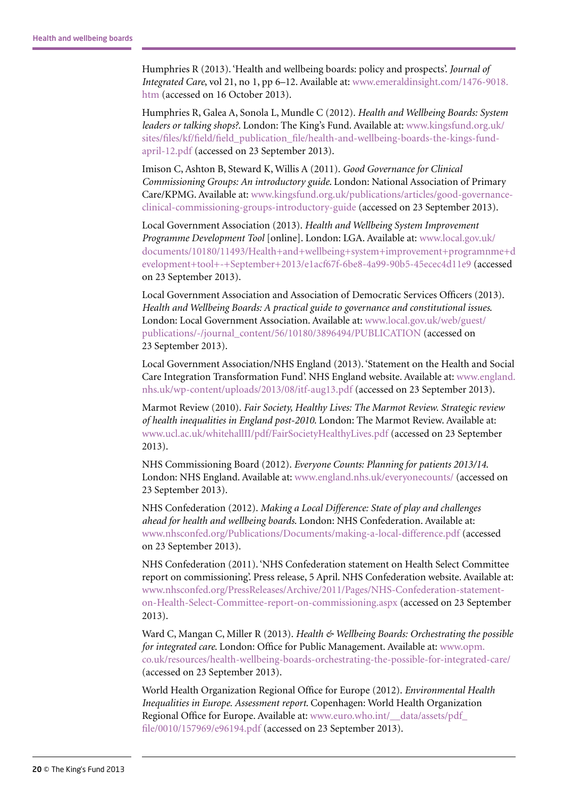Humphries R (2013). 'Health and wellbeing boards: policy and prospects'. *Journal of Integrated Care*, vol 21, no 1, pp 6–12. Available at: [www.emeraldinsight.com/1476-9018.](http://www.emeraldinsight.com/1476-9018.htm) [htm](http://www.emeraldinsight.com/1476-9018.htm) (accessed on 16 October 2013).

Humphries R, Galea A, Sonola L, Mundle C (2012). *Health and Wellbeing Boards: System leaders or talking shops?*. London: The King's Fund. Available at: [www.kingsfund.org.uk/](http://www.kingsfund.org.uk/sites/files/kf/field/field_publication_file/health-and-wellbeing-boards-the-kings-fund-april-12.pdf) [sites/files/kf/field/field\\_publication\\_file/health-and-wellbeing-boards-the-kings-fund](http://www.kingsfund.org.uk/sites/files/kf/field/field_publication_file/health-and-wellbeing-boards-the-kings-fund-april-12.pdf)[april-12.pdf](http://www.kingsfund.org.uk/sites/files/kf/field/field_publication_file/health-and-wellbeing-boards-the-kings-fund-april-12.pdf) (accessed on 23 September 2013).

Imison C, Ashton B, Steward K, Willis A (2011). *Good Governance for Clinical Commissioning Groups: An introductory guide*. London: National Association of Primary Care/KPMG. Available at: [www.kingsfund.org.uk/publications/articles/good-governance](http://www.kingsfund.org.uk/publications/articles/good-governance-clinical-commissioning-groups-introductory-guide)[clinical-commissioning-groups-introductory-guide](http://www.kingsfund.org.uk/publications/articles/good-governance-clinical-commissioning-groups-introductory-guide) (accessed on 23 September 2013).

Local Government Association (2013). *Health and Wellbeing System Improvement Programme Development Tool* [online]. London: LGA. Available at: [www.local.gov.uk/](http://www.local.gov.uk/documents/10180/11493/Health+and+wellbeing+system+improvement+programnme+development+tool+-+September+2013/e1acf67f-6be8-4a99-90b5-45ecec4d11e9) [documents/10180/11493/Health+and+wellbeing+system+improvement+programnme+d](http://www.local.gov.uk/documents/10180/11493/Health+and+wellbeing+system+improvement+programnme+development+tool+-+September+2013/e1acf67f-6be8-4a99-90b5-45ecec4d11e9) [evelopment+tool+-+September+2013/e1acf67f-6be8-4a99-90b5-45ecec4d11e9](http://www.local.gov.uk/documents/10180/11493/Health+and+wellbeing+system+improvement+programnme+development+tool+-+September+2013/e1acf67f-6be8-4a99-90b5-45ecec4d11e9) (accessed on 23 September 2013).

Local Government Association and Association of Democratic Services Officers (2013). *Health and Wellbeing Boards: A practical guide to governance and constitutional issues*. London: Local Government Association. Available at: [www.local.gov.uk/web/guest/](http://www.local.gov.uk/web/guest/publications/-/journal_content/56/10180/3896494/PUBLICATION) [publications/-/journal\\_content/56/10180/3896494/PUBLICATION](http://www.local.gov.uk/web/guest/publications/-/journal_content/56/10180/3896494/PUBLICATION) (accessed on 23 September 2013).

Local Government Association/NHS England (2013). 'Statement on the Health and Social Care Integration Transformation Fund'. NHS England website. Available at: [www.england.](http://www.england.nhs.uk/wp-content/uploads/2013/08/itf-aug13.pdf) [nhs.uk/wp-content/uploads/2013/08/itf-aug13.pdf](http://www.england.nhs.uk/wp-content/uploads/2013/08/itf-aug13.pdf) (accessed on 23 September 2013).

Marmot Review (2010). *Fair Society, Healthy Lives: The Marmot Review. Strategic review of health inequalities in England post-2010*. London: The Marmot Review. Available at: [www.ucl.ac.uk/whitehallII/pdf/FairSocietyHealthyLives.pdf](http://www.ucl.ac.uk/whitehallII/pdf/FairSocietyHealthyLives.pdf) (accessed on 23 September 2013).

NHS Commissioning Board (2012). *Everyone Counts: Planning for patients 2013/14*. London: NHS England. Available at: [www.england.nhs.uk/everyonecounts/](http://www.england.nhs.uk/everyonecounts/) (accessed on 23 September 2013).

NHS Confederation (2012). *Making a Local Difference: State of play and challenges ahead for health and wellbeing boards*. London: NHS Confederation. Available at: [www.nhsconfed.org/Publications/Documents/making-a-local-difference.pdf](http://www.nhsconfed.org/Publications/Documents/making-a-local-difference.pdf) (accessed on 23 September 2013).

NHS Confederation (2011). 'NHS Confederation statement on Health Select Committee report on commissioning'. Press release, 5 April. NHS Confederation website. Available at: [www.nhsconfed.org/PressReleases/Archive/2011/Pages/NHS-Confederation-statement](http://www.nhsconfed.org/PressReleases/Archive/2011/Pages/NHS-Confederation-statement-on-Health-Select-Committee-report-on-commissioning.aspx)[on-Health-Select-Committee-report-on-commissioning.aspx](http://www.nhsconfed.org/PressReleases/Archive/2011/Pages/NHS-Confederation-statement-on-Health-Select-Committee-report-on-commissioning.aspx) (accessed on 23 September 2013).

Ward C, Mangan C, Miller R (2013). *Health & Wellbeing Boards: Orchestrating the possible for integrated care*. London: Office for Public Management. Available at: [www.opm.](http://www.opm.co.uk/resources/health-wellbeing-boards-orchestrating-the-possible-for-integrated-care/) [co.uk/resources/health-wellbeing-boards-orchestrating-the-possible-for-integrated-care/](http://www.opm.co.uk/resources/health-wellbeing-boards-orchestrating-the-possible-for-integrated-care/) (accessed on 23 September 2013).

World Health Organization Regional Office for Europe (2012). *Environmental Health Inequalities in Europe. Assessment report*. Copenhagen: World Health Organization Regional Office for Europe. Available at: www.euro.who.int/ data/assets/pdf [file/0010/157969/e96194.pdf](http://www.euro.who.int/__data/assets/pdf_file/0010/157969/e96194.pdf) (accessed on 23 September 2013).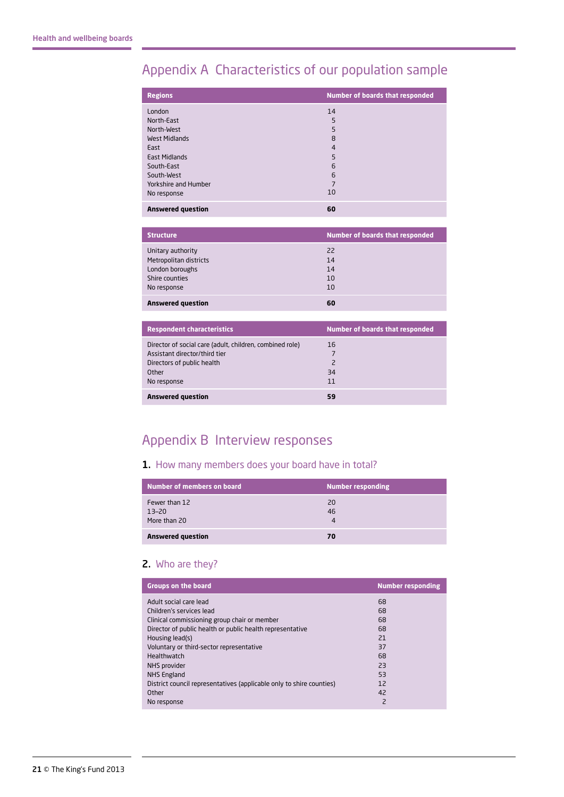## Appendix A Characteristics of our population sample

| <b>Regions</b>           | <b>Number of boards that responded</b> |
|--------------------------|----------------------------------------|
| London                   | 14                                     |
| North-East               | 5                                      |
| North-West               | 5                                      |
| West Midlands            | 8                                      |
| East                     | $\overline{4}$                         |
| <b>East Midlands</b>     | 5                                      |
| South-East               | 6                                      |
| South-West               | 6                                      |
| Yorkshire and Humber     | 7                                      |
| No response              | 10                                     |
| <b>Answered question</b> | 60                                     |

| <b>Structure</b>         | <b>Number of boards that responded</b> |
|--------------------------|----------------------------------------|
| Unitary authority        | 22                                     |
| Metropolitan districts   | 14                                     |
| London boroughs          | 14                                     |
| Shire counties           | 10                                     |
| No response              | 10                                     |
| <b>Answered question</b> | 60                                     |

| <b>Respondent characteristics</b>                                                                                       | Number of boards that responded |
|-------------------------------------------------------------------------------------------------------------------------|---------------------------------|
| Director of social care (adult, children, combined role)<br>Assistant director/third tier<br>Directors of public health | 16<br>$\overline{\phantom{0}}$  |
| Other<br>No response                                                                                                    | 34<br>11                        |
| <b>Answered question</b>                                                                                                | 59                              |

## Appendix B Interview responses

#### 1. How many members does your board have in total?

| Number of members on board             | <b>Number responding</b> |
|----------------------------------------|--------------------------|
| Fewer than 12<br>13-20<br>More than 20 | 20<br>46<br>4            |
| <b>Answered question</b>               | 70                       |

#### 2. Who are they?

| <b>Groups on the board</b>                                           | <b>Number responding</b> |
|----------------------------------------------------------------------|--------------------------|
| Adult social care lead                                               | 68                       |
| Children's services lead                                             | 68                       |
| Clinical commissioning group chair or member                         | 68                       |
| Director of public health or public health representative            | 68                       |
| Housing lead(s)                                                      | 21                       |
| Voluntary or third-sector representative                             | 37                       |
| <b>Healthwatch</b>                                                   | 68                       |
| NHS provider                                                         | 23                       |
| NHS England                                                          | 53                       |
| District council representatives (applicable only to shire counties) | 12                       |
| Other                                                                | 42                       |
| No response                                                          | 2                        |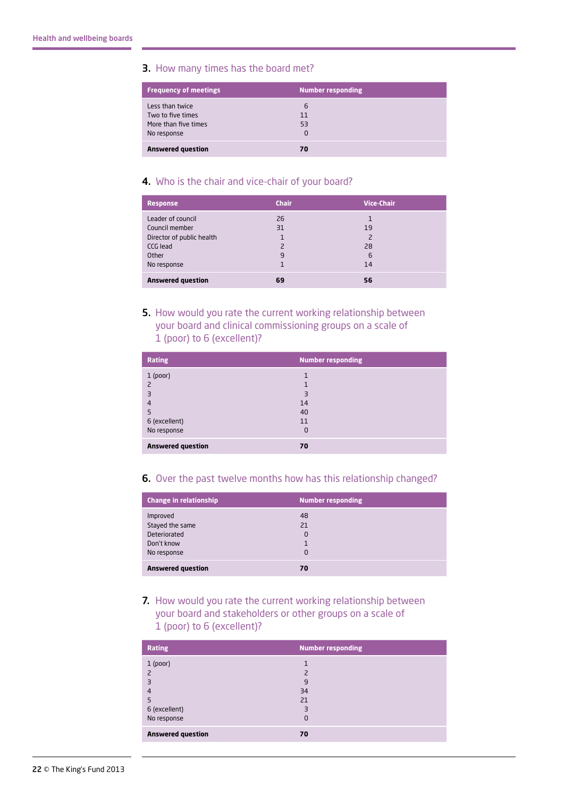#### 3. How many times has the board met?

| <b>Frequency of meetings</b>                                                | <b>Number responding</b> |
|-----------------------------------------------------------------------------|--------------------------|
| Less than twice<br>Two to five times<br>More than five times<br>No response | 6<br>11<br>53<br>0       |
| <b>Answered question</b>                                                    | 70                       |

#### 4. Who is the chair and vice-chair of your board?

| <b>Response</b>                                                                                      | <b>Chair</b>                                   | <b>Vice-Chair</b>                          |
|------------------------------------------------------------------------------------------------------|------------------------------------------------|--------------------------------------------|
| Leader of council<br>Council member<br>Director of public health<br>CCG lead<br>Other<br>No response | 26<br>31<br>$\overline{\phantom{0}}$<br>9<br>1 | 1<br>19<br>$\overline{2}$<br>28<br>6<br>14 |
| <b>Answered question</b>                                                                             | 69                                             | 56                                         |

#### 5. How would you rate the current working relationship between your board and clinical commissioning groups on a scale of 1 (poor) to 6 (excellent)?

| <b>Rating</b>                                             | <b>Number responding</b>                                   |
|-----------------------------------------------------------|------------------------------------------------------------|
| $1$ (poor)<br>3<br>4<br>5<br>6 (excellent)<br>No response | 1<br>$\overline{\mathbf{3}}$<br>14<br>40<br>11<br>$\Omega$ |
| <b>Answered question</b>                                  | 70                                                         |

#### 6. Over the past twelve months how has this relationship changed?

| <b>Change in relationship</b>                                            | <b>Number responding</b>  |
|--------------------------------------------------------------------------|---------------------------|
| Improved<br>Stayed the same<br>Deteriorated<br>Don't know<br>No response | 48<br>21<br>0<br>$\Omega$ |
| <b>Answered question</b>                                                 | 70                        |

7. How would you rate the current working relationship between your board and stakeholders or other groups on a scale of 1 (poor) to 6 (excellent)?

| <b>Rating</b>                                                              | <b>Number responding</b>                                           |
|----------------------------------------------------------------------------|--------------------------------------------------------------------|
| $1$ (poor)<br>$\mathcal{L}$<br>3<br>4<br>5<br>6 (excellent)<br>No response | $\overline{\phantom{1}}$<br>9<br>34<br>21<br>$\exists$<br>$\Omega$ |
| <b>Answered question</b>                                                   | 70                                                                 |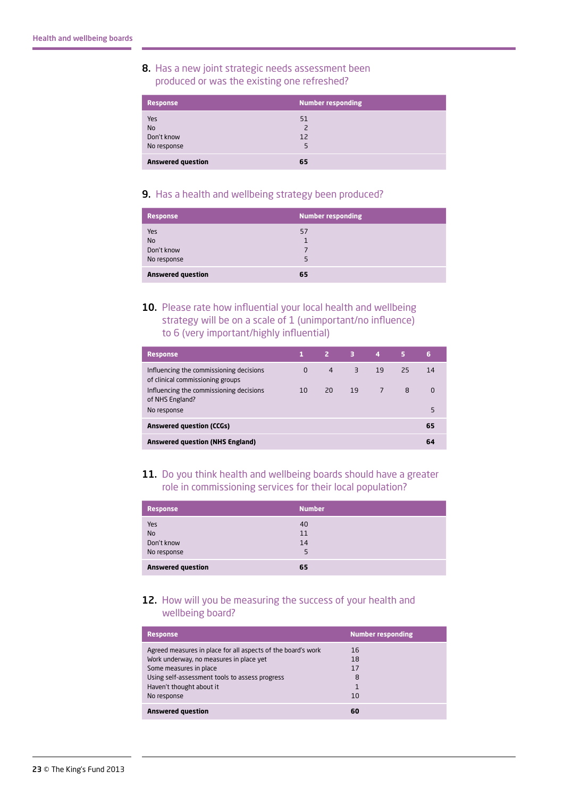#### 8. Has a new joint strategic needs assessment been produced or was the existing one refreshed?

| <b>Response</b>                               | <b>Number responding</b>        |
|-----------------------------------------------|---------------------------------|
| Yes<br><b>No</b><br>Don't know<br>No response | 51<br>$\overline{2}$<br>12<br>5 |
| <b>Answered question</b>                      | 65                              |

#### 9. Has a health and wellbeing strategy been produced?

| <b>Response</b>                | <b>Number responding</b> |
|--------------------------------|--------------------------|
| Yes<br><b>No</b><br>Don't know | 57                       |
| No response                    |                          |
| <b>Answered question</b>       | 65                       |

10. Please rate how influential your local health and wellbeing strategy will be on a scale of 1 (unimportant/no influence) to 6 (very important/highly influential)

| <b>Response</b>                                                             |          |                | $2 \times 3$ | 4              | 5  | 6  |
|-----------------------------------------------------------------------------|----------|----------------|--------------|----------------|----|----|
| Influencing the commissioning decisions<br>of clinical commissioning groups | $\Omega$ | $\overline{4}$ | 3            | 19             | 25 | 14 |
| Influencing the commissioning decisions<br>of NHS England?                  | 10       | 20             | 19           | $\overline{7}$ | 8  | 0  |
| No response                                                                 |          |                |              |                |    |    |
| <b>Answered question (CCGs)</b>                                             |          |                |              |                |    | 65 |
| <b>Answered question (NHS England)</b>                                      |          |                |              |                |    | 64 |

#### 11. Do you think health and wellbeing boards should have a greater role in commissioning services for their local population?

| <b>Response</b>          | <b>Number</b>  |
|--------------------------|----------------|
| Yes<br>No<br>Don't know  | 40<br>11<br>14 |
| No response              | 5              |
| <b>Answered question</b> | 65             |

#### 12. How will you be measuring the success of your health and wellbeing board?

| <b>Response</b>                                                                                                                                                                                                                | <b>Number responding</b>       |
|--------------------------------------------------------------------------------------------------------------------------------------------------------------------------------------------------------------------------------|--------------------------------|
| Agreed measures in place for all aspects of the board's work<br>Work underway, no measures in place yet<br>Some measures in place<br>Using self-assessment tools to assess progress<br>Haven't thought about it<br>No response | 16<br>18<br>17<br>8<br>1<br>10 |
| <b>Answered question</b>                                                                                                                                                                                                       | 60                             |